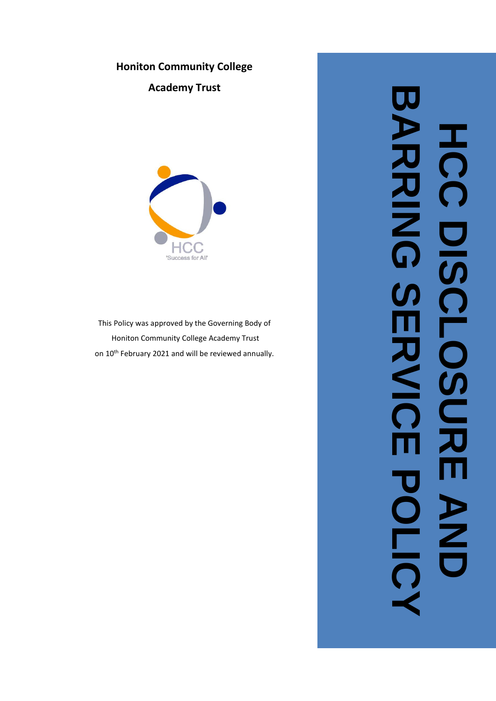# **Honiton Community College**

**Academy Trust**



This Policy was approved by the Governing Body of Honiton Community College Academy Trust on 10<sup>th</sup> February 2021 and will be reviewed annually.

# **BARRING SERVICE POLICE** JU **ARRING** HCC DISCLOSURE AND  $\frac{1}{\Omega}$ DISCLOSUR Ŋ U スミ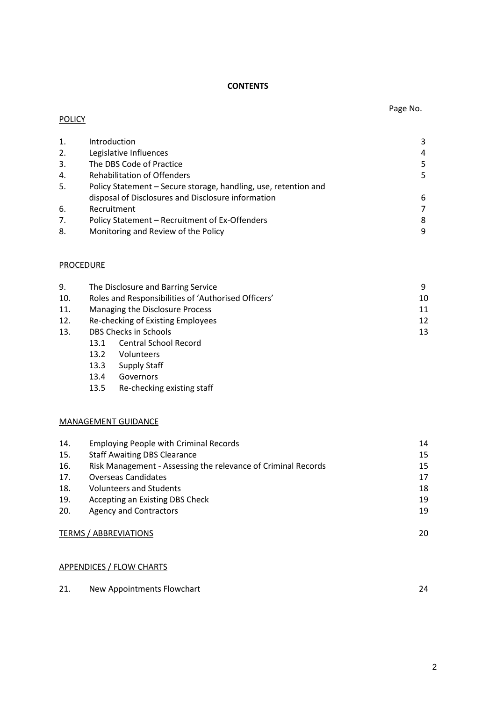# **CONTENTS**

| 1. | Introduction                                                    | 3 |
|----|-----------------------------------------------------------------|---|
| 2. | Legislative Influences                                          | 4 |
| 3. | The DBS Code of Practice                                        | 5 |
| 4. | <b>Rehabilitation of Offenders</b>                              | 5 |
| 5. | Policy Statement – Secure storage, handling, use, retention and |   |
|    | disposal of Disclosures and Disclosure information              | 6 |
| 6. | Recruitment                                                     |   |
| 7. | Policy Statement - Recruitment of Ex-Offenders                  | 8 |
| 8. | Monitoring and Review of the Policy                             | 9 |
|    |                                                                 |   |

# **PROCEDURE**

**POLICY** 

| 9.  | The Disclosure and Barring Service                  |  |  |
|-----|-----------------------------------------------------|--|--|
| 10. | Roles and Responsibilities of 'Authorised Officers' |  |  |
| 11. | Managing the Disclosure Process<br>11               |  |  |
| 12. | 12<br>Re-checking of Existing Employees             |  |  |
| 13. | DBS Checks in Schools                               |  |  |
|     | <b>Central School Record</b><br>13.1                |  |  |

- 13.2 Volunteers
- 13.3 Supply Staff
- 13.4 Governors
- 13.5 Re-checking existing staff

# MANAGEMENT GUIDANCE

| 14. | <b>Employing People with Criminal Records</b>                 | 14 |
|-----|---------------------------------------------------------------|----|
| 15. | <b>Staff Awaiting DBS Clearance</b>                           | 15 |
| 16. | Risk Management - Assessing the relevance of Criminal Records | 15 |
| 17. | <b>Overseas Candidates</b>                                    | 17 |
| 18. | <b>Volunteers and Students</b>                                | 18 |
| 19. | Accepting an Existing DBS Check                               | 19 |
| 20. | <b>Agency and Contractors</b>                                 | 19 |
|     |                                                               |    |
|     | <b>TERMS / ABBREVIATIONS</b>                                  | 20 |

### APPENDICES / FLOW CHARTS

| 21. | New Appointments Flowchart |  |
|-----|----------------------------|--|
|-----|----------------------------|--|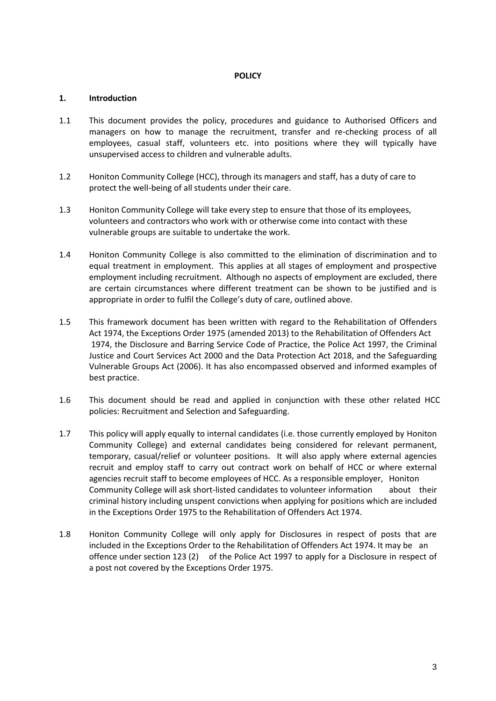### **POLICY**

### **1. Introduction**

- 1.1 This document provides the policy, procedures and guidance to Authorised Officers and managers on how to manage the recruitment, transfer and re-checking process of all employees, casual staff, volunteers etc. into positions where they will typically have unsupervised access to children and vulnerable adults.
- 1.2 Honiton Community College (HCC), through its managers and staff, has a duty of care to protect the well-being of all students under their care.
- 1.3 Honiton Community College will take every step to ensure that those of its employees, volunteers and contractors who work with or otherwise come into contact with these vulnerable groups are suitable to undertake the work.
- 1.4 Honiton Community College is also committed to the elimination of discrimination and to equal treatment in employment. This applies at all stages of employment and prospective employment including recruitment. Although no aspects of employment are excluded, there are certain circumstances where different treatment can be shown to be justified and is appropriate in order to fulfil the College's duty of care, outlined above.
- 1.5 This framework document has been written with regard to the Rehabilitation of Offenders Act 1974, the Exceptions Order 1975 (amended 2013) to the Rehabilitation of Offenders Act 1974, the Disclosure and Barring Service Code of Practice, the Police Act 1997, the Criminal Justice and Court Services Act 2000 and the Data Protection Act 2018, and the Safeguarding Vulnerable Groups Act (2006). It has also encompassed observed and informed examples of best practice.
- 1.6 This document should be read and applied in conjunction with these other related HCC policies: Recruitment and Selection and Safeguarding.
- 1.7 This policy will apply equally to internal candidates (i.e. those currently employed by Honiton Community College) and external candidates being considered for relevant permanent, temporary, casual/relief or volunteer positions. It will also apply where external agencies recruit and employ staff to carry out contract work on behalf of HCC or where external agencies recruit staff to become employees of HCC. As a responsible employer, Honiton Community College will ask short-listed candidates to volunteer information about their criminal history including unspent convictions when applying for positions which are included in the Exceptions Order 1975 to the Rehabilitation of Offenders Act 1974.
- 1.8 Honiton Community College will only apply for Disclosures in respect of posts that are included in the Exceptions Order to the Rehabilitation of Offenders Act 1974. It may be an offence under section 123 (2) of the Police Act 1997 to apply for a Disclosure in respect of a post not covered by the Exceptions Order 1975.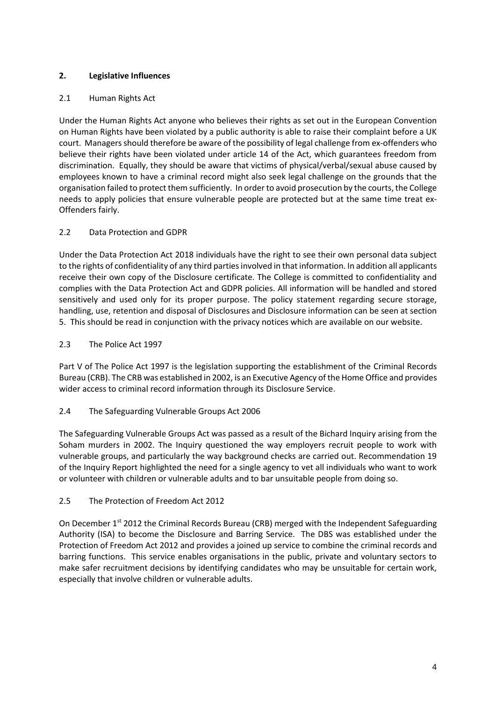# **2. Legislative Influences**

# 2.1 Human Rights Act

Under the Human Rights Act anyone who believes their rights as set out in the European Convention on Human Rights have been violated by a public authority is able to raise their complaint before a UK court. Managers should therefore be aware of the possibility of legal challenge from ex-offenders who believe their rights have been violated under article 14 of the Act, which guarantees freedom from discrimination. Equally, they should be aware that victims of physical/verbal/sexual abuse caused by employees known to have a criminal record might also seek legal challenge on the grounds that the organisation failed to protect them sufficiently. In order to avoid prosecution by the courts, the College needs to apply policies that ensure vulnerable people are protected but at the same time treat ex-Offenders fairly.

# 2.2 Data Protection and GDPR

Under the Data Protection Act 2018 individuals have the right to see their own personal data subject to the rights of confidentiality of any third parties involved in that information. In addition all applicants receive their own copy of the Disclosure certificate. The College is committed to confidentiality and complies with the Data Protection Act and GDPR policies. All information will be handled and stored sensitively and used only for its proper purpose. The policy statement regarding secure storage, handling, use, retention and disposal of Disclosures and Disclosure information can be seen at section 5. This should be read in conjunction with the privacy notices which are available on our website.

# 2.3 The Police Act 1997

Part V of The Police Act 1997 is the legislation supporting the establishment of the Criminal Records Bureau (CRB). The CRB was established in 2002, is an Executive Agency of the Home Office and provides wider access to criminal record information through its Disclosure Service.

# 2.4 The Safeguarding Vulnerable Groups Act 2006

The Safeguarding Vulnerable Groups Act was passed as a result of the Bichard Inquiry arising from the Soham murders in 2002. The Inquiry questioned the way employers recruit people to work with vulnerable groups, and particularly the way background checks are carried out. Recommendation 19 of the Inquiry Report highlighted the need for a single agency to vet all individuals who want to work or volunteer with children or vulnerable adults and to bar unsuitable people from doing so.

# 2.5 The Protection of Freedom Act 2012

On December 1<sup>st</sup> 2012 the Criminal Records Bureau (CRB) merged with the Independent Safeguarding Authority (ISA) to become the Disclosure and Barring Service. The DBS was established under the Protection of Freedom Act 2012 and provides a joined up service to combine the criminal records and barring functions. This service enables organisations in the public, private and voluntary sectors to make safer recruitment decisions by identifying candidates who may be unsuitable for certain work, especially that involve children or vulnerable adults.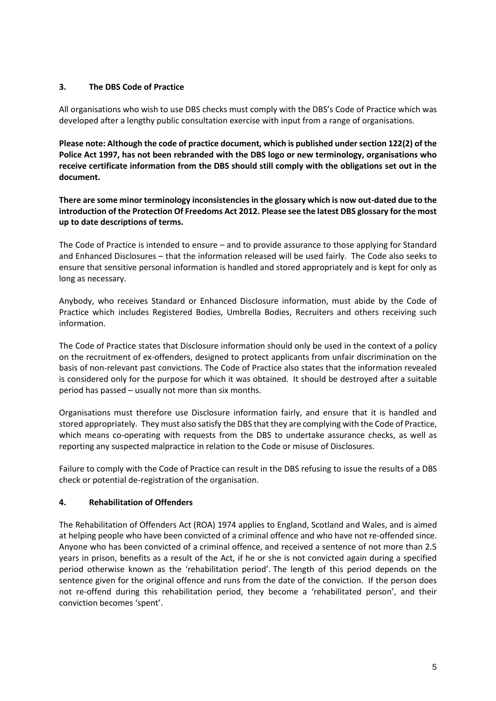# **3. The DBS Code of Practice**

All organisations who wish to use DBS checks must comply with the DBS's Code of Practice which was developed after a lengthy public consultation exercise with input from a range of organisations.

**Please note: Although the code of practice document, which is published under section 122(2) of the Police Act 1997, has not been rebranded with the DBS logo or new terminology, organisations who receive certificate information from the DBS should still comply with the obligations set out in the document.**

**There are some minor terminology inconsistencies in the glossary which is now out-dated due to the introduction of the Protection Of Freedoms Act 2012. Please see the latest DBS glossary for the most up to date descriptions of terms.**

The Code of Practice is intended to ensure – and to provide assurance to those applying for Standard and Enhanced Disclosures – that the information released will be used fairly. The Code also seeks to ensure that sensitive personal information is handled and stored appropriately and is kept for only as long as necessary.

Anybody, who receives Standard or Enhanced Disclosure information, must abide by the Code of Practice which includes Registered Bodies, Umbrella Bodies, Recruiters and others receiving such information.

The Code of Practice states that Disclosure information should only be used in the context of a policy on the recruitment of ex-offenders, designed to protect applicants from unfair discrimination on the basis of non-relevant past convictions. The Code of Practice also states that the information revealed is considered only for the purpose for which it was obtained. It should be destroyed after a suitable period has passed – usually not more than six months.

Organisations must therefore use Disclosure information fairly, and ensure that it is handled and stored appropriately. They must also satisfy the DBS that they are complying with the Code of Practice, which means co-operating with requests from the DBS to undertake assurance checks, as well as reporting any suspected malpractice in relation to the Code or misuse of Disclosures.

Failure to comply with the Code of Practice can result in the DBS refusing to issue the results of a DBS check or potential de-registration of the organisation.

# **4. Rehabilitation of Offenders**

The Rehabilitation of Offenders Act (ROA) 1974 applies to England, Scotland and Wales, and is aimed at helping people who have been convicted of a criminal offence and who have not re-offended since. Anyone who has been convicted of a criminal offence, and received a sentence of not more than 2.5 years in prison, benefits as a result of the Act, if he or she is not convicted again during a specified period otherwise known as the 'rehabilitation period'. The length of this period depends on the sentence given for the original offence and runs from the date of the conviction. If the person does not re-offend during this rehabilitation period, they become a 'rehabilitated person', and their conviction becomes 'spent'.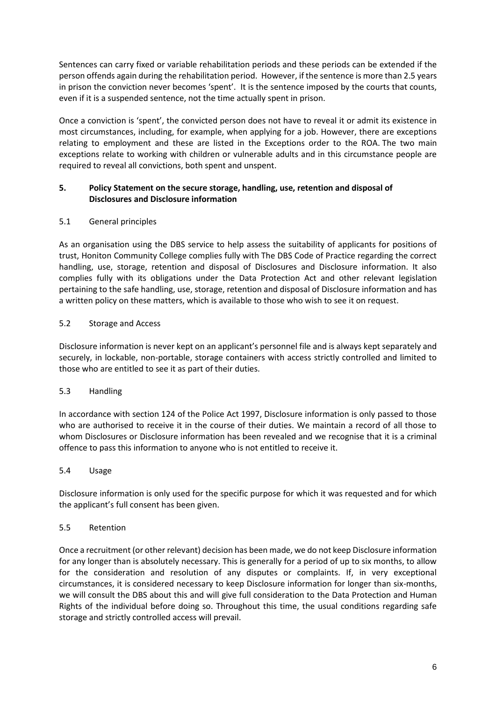Sentences can carry fixed or variable rehabilitation periods and these periods can be extended if the person offends again during the rehabilitation period. However, if the sentence is more than 2.5 years in prison the conviction never becomes 'spent'. It is the sentence imposed by the courts that counts, even if it is a suspended sentence, not the time actually spent in prison.

Once a conviction is 'spent', the convicted person does not have to reveal it or admit its existence in most circumstances, including, for example, when applying for a job. However, there are exceptions relating to employment and these are listed in the Exceptions order to the ROA. The two main exceptions relate to working with children or vulnerable adults and in this circumstance people are required to reveal all convictions, both spent and unspent.

# **5. Policy Statement on the secure storage, handling, use, retention and disposal of Disclosures and Disclosure information**

# 5.1 General principles

As an organisation using the DBS service to help assess the suitability of applicants for positions of trust, Honiton Community College complies fully with The DBS Code of Practice regarding the correct handling, use, storage, retention and disposal of Disclosures and Disclosure information. It also complies fully with its obligations under the Data Protection Act and other relevant legislation pertaining to the safe handling, use, storage, retention and disposal of Disclosure information and has a written policy on these matters, which is available to those who wish to see it on request.

# 5.2 Storage and Access

Disclosure information is never kept on an applicant's personnel file and is always kept separately and securely, in lockable, non-portable, storage containers with access strictly controlled and limited to those who are entitled to see it as part of their duties.

# 5.3 Handling

In accordance with section 124 of the Police Act 1997, Disclosure information is only passed to those who are authorised to receive it in the course of their duties. We maintain a record of all those to whom Disclosures or Disclosure information has been revealed and we recognise that it is a criminal offence to pass this information to anyone who is not entitled to receive it.

# 5.4 Usage

Disclosure information is only used for the specific purpose for which it was requested and for which the applicant's full consent has been given.

# 5.5 Retention

Once a recruitment (or other relevant) decision has been made, we do not keep Disclosure information for any longer than is absolutely necessary. This is generally for a period of up to six months, to allow for the consideration and resolution of any disputes or complaints. If, in very exceptional circumstances, it is considered necessary to keep Disclosure information for longer than six-months, we will consult the DBS about this and will give full consideration to the Data Protection and Human Rights of the individual before doing so. Throughout this time, the usual conditions regarding safe storage and strictly controlled access will prevail.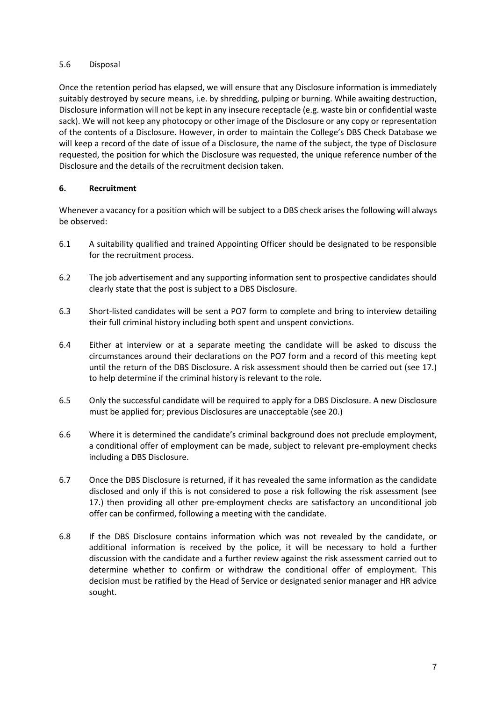### 5.6 Disposal

Once the retention period has elapsed, we will ensure that any Disclosure information is immediately suitably destroyed by secure means, i.e. by shredding, pulping or burning. While awaiting destruction, Disclosure information will not be kept in any insecure receptacle (e.g. waste bin or confidential waste sack). We will not keep any photocopy or other image of the Disclosure or any copy or representation of the contents of a Disclosure. However, in order to maintain the College's DBS Check Database we will keep a record of the date of issue of a Disclosure, the name of the subject, the type of Disclosure requested, the position for which the Disclosure was requested, the unique reference number of the Disclosure and the details of the recruitment decision taken.

# **6. Recruitment**

Whenever a vacancy for a position which will be subject to a DBS check arises the following will always be observed:

- 6.1 A suitability qualified and trained Appointing Officer should be designated to be responsible for the recruitment process.
- 6.2 The job advertisement and any supporting information sent to prospective candidates should clearly state that the post is subject to a DBS Disclosure.
- 6.3 Short-listed candidates will be sent a PO7 form to complete and bring to interview detailing their full criminal history including both spent and unspent convictions.
- 6.4 Either at interview or at a separate meeting the candidate will be asked to discuss the circumstances around their declarations on the PO7 form and a record of this meeting kept until the return of the DBS Disclosure. A risk assessment should then be carried out (see 17.) to help determine if the criminal history is relevant to the role.
- 6.5 Only the successful candidate will be required to apply for a DBS Disclosure. A new Disclosure must be applied for; previous Disclosures are unacceptable (see 20.)
- 6.6 Where it is determined the candidate's criminal background does not preclude employment, a conditional offer of employment can be made, subject to relevant pre-employment checks including a DBS Disclosure.
- 6.7 Once the DBS Disclosure is returned, if it has revealed the same information as the candidate disclosed and only if this is not considered to pose a risk following the risk assessment (see 17.) then providing all other pre-employment checks are satisfactory an unconditional job offer can be confirmed, following a meeting with the candidate.
- 6.8 If the DBS Disclosure contains information which was not revealed by the candidate, or additional information is received by the police, it will be necessary to hold a further discussion with the candidate and a further review against the risk assessment carried out to determine whether to confirm or withdraw the conditional offer of employment. This decision must be ratified by the Head of Service or designated senior manager and HR advice sought.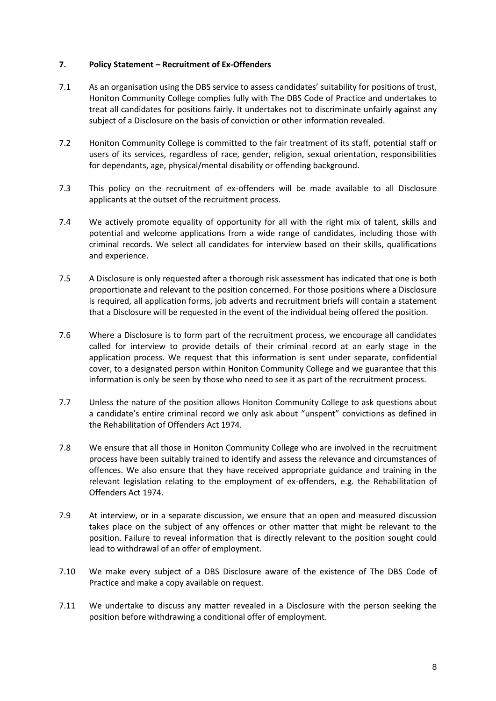### **7. Policy Statement – Recruitment of Ex-Offenders**

- 7.1 As an organisation using the DBS service to assess candidates' suitability for positions of trust, Honiton Community College complies fully with The DBS Code of Practice and undertakes to treat all candidates for positions fairly. It undertakes not to discriminate unfairly against any subject of a Disclosure on the basis of conviction or other information revealed.
- 7.2 Honiton Community College is committed to the fair treatment of its staff, potential staff or users of its services, regardless of race, gender, religion, sexual orientation, responsibilities for dependants, age, physical/mental disability or offending background.
- 7.3 This policy on the recruitment of ex-offenders will be made available to all Disclosure applicants at the outset of the recruitment process.
- 7.4 We actively promote equality of opportunity for all with the right mix of talent, skills and potential and welcome applications from a wide range of candidates, including those with criminal records. We select all candidates for interview based on their skills, qualifications and experience.
- 7.5 A Disclosure is only requested after a thorough risk assessment has indicated that one is both proportionate and relevant to the position concerned. For those positions where a Disclosure is required, all application forms, job adverts and recruitment briefs will contain a statement that a Disclosure will be requested in the event of the individual being offered the position.
- 7.6 Where a Disclosure is to form part of the recruitment process, we encourage all candidates called for interview to provide details of their criminal record at an early stage in the application process. We request that this information is sent under separate, confidential cover, to a designated person within Honiton Community College and we guarantee that this information is only be seen by those who need to see it as part of the recruitment process.
- 7.7 Unless the nature of the position allows Honiton Community College to ask questions about a candidate's entire criminal record we only ask about "unspent" convictions as defined in the Rehabilitation of Offenders Act 1974.
- 7.8 We ensure that all those in Honiton Community College who are involved in the recruitment process have been suitably trained to identify and assess the relevance and circumstances of offences. We also ensure that they have received appropriate guidance and training in the relevant legislation relating to the employment of ex-offenders, e.g. the Rehabilitation of Offenders Act 1974.
- 7.9 At interview, or in a separate discussion, we ensure that an open and measured discussion takes place on the subject of any offences or other matter that might be relevant to the position. Failure to reveal information that is directly relevant to the position sought could lead to withdrawal of an offer of employment.
- 7.10 We make every subject of a DBS Disclosure aware of the existence of The DBS Code of Practice and make a copy available on request.
- 7.11 We undertake to discuss any matter revealed in a Disclosure with the person seeking the position before withdrawing a conditional offer of employment.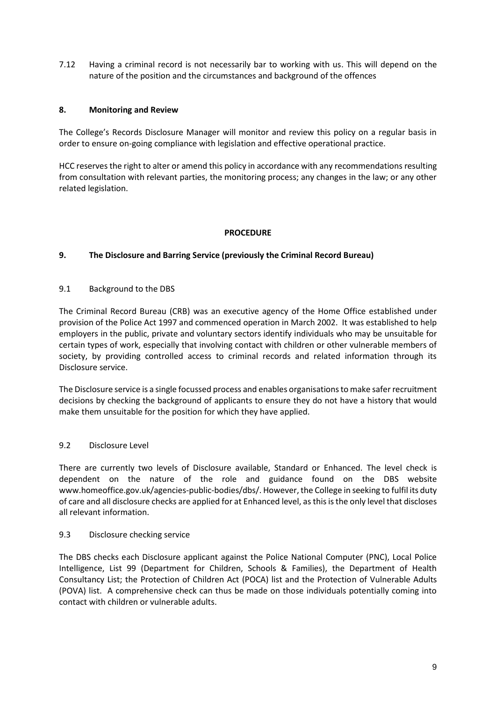7.12 Having a criminal record is not necessarily bar to working with us. This will depend on the nature of the position and the circumstances and background of the offences

### **8. Monitoring and Review**

The College's Records Disclosure Manager will monitor and review this policy on a regular basis in order to ensure on-going compliance with legislation and effective operational practice.

HCC reserves the right to alter or amend this policy in accordance with any recommendations resulting from consultation with relevant parties, the monitoring process; any changes in the law; or any other related legislation.

### **PROCEDURE**

### **9. The Disclosure and Barring Service (previously the Criminal Record Bureau)**

### 9.1 Background to the DBS

The Criminal Record Bureau (CRB) was an executive agency of the Home Office established under provision of the Police Act 1997 and commenced operation in March 2002. It was established to help employers in the public, private and voluntary sectors identify individuals who may be unsuitable for certain types of work, especially that involving contact with children or other vulnerable members of society, by providing controlled access to criminal records and related information through its Disclosure service.

The Disclosure service is a single focussed process and enables organisations to make safer recruitment decisions by checking the background of applicants to ensure they do not have a history that would make them unsuitable for the position for which they have applied.

# 9.2 Disclosure Level

There are currently two levels of Disclosure available, Standard or Enhanced. The level check is dependent on the nature of the role and guidance found on the DBS website www.homeoffice.gov.uk/agencies-public-bodies/dbs/. However, the College in seeking to fulfil its duty of care and all disclosure checks are applied for at Enhanced level, as this is the only level that discloses all relevant information.

### 9.3 Disclosure checking service

The DBS checks each Disclosure applicant against the Police National Computer (PNC), Local Police Intelligence, List 99 (Department for Children, Schools & Families), the Department of Health Consultancy List; the Protection of Children Act (POCA) list and the Protection of Vulnerable Adults (POVA) list. A comprehensive check can thus be made on those individuals potentially coming into contact with children or vulnerable adults.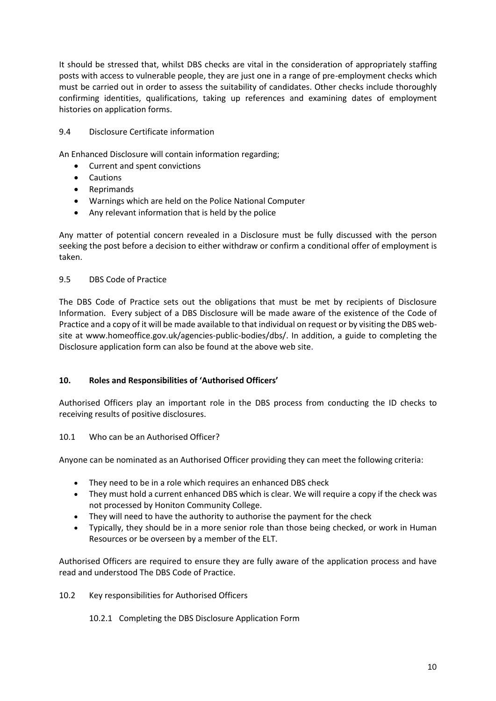It should be stressed that, whilst DBS checks are vital in the consideration of appropriately staffing posts with access to vulnerable people, they are just one in a range of pre-employment checks which must be carried out in order to assess the suitability of candidates. Other checks include thoroughly confirming identities, qualifications, taking up references and examining dates of employment histories on application forms.

# 9.4 Disclosure Certificate information

An Enhanced Disclosure will contain information regarding;

- Current and spent convictions
- Cautions
- Reprimands
- Warnings which are held on the Police National Computer
- Any relevant information that is held by the police

Any matter of potential concern revealed in a Disclosure must be fully discussed with the person seeking the post before a decision to either withdraw or confirm a conditional offer of employment is taken.

# 9.5 DBS Code of Practice

The DBS Code of Practice sets out the obligations that must be met by recipients of Disclosure Information. Every subject of a DBS Disclosure will be made aware of the existence of the Code of Practice and a copy of it will be made available to that individual on request or by visiting the DBS website at www.homeoffice.gov.uk/agencies-public-bodies/dbs/. In addition, a guide to completing the Disclosure application form can also be found at the above web site.

# **10. Roles and Responsibilities of 'Authorised Officers'**

Authorised Officers play an important role in the DBS process from conducting the ID checks to receiving results of positive disclosures.

# 10.1 Who can be an Authorised Officer?

Anyone can be nominated as an Authorised Officer providing they can meet the following criteria:

- They need to be in a role which requires an enhanced DBS check
- They must hold a current enhanced DBS which is clear. We will require a copy if the check was not processed by Honiton Community College.
- They will need to have the authority to authorise the payment for the check
- Typically, they should be in a more senior role than those being checked, or work in Human Resources or be overseen by a member of the ELT.

Authorised Officers are required to ensure they are fully aware of the application process and have read and understood The DBS Code of Practice.

10.2 Key responsibilities for Authorised Officers

10.2.1 Completing the DBS Disclosure Application Form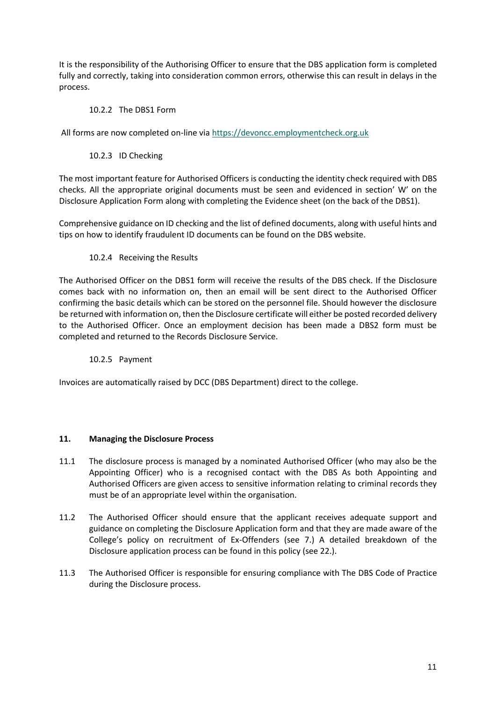It is the responsibility of the Authorising Officer to ensure that the DBS application form is completed fully and correctly, taking into consideration common errors, otherwise this can result in delays in the process.

# 10.2.2 The DBS1 Form

All forms are now completed on-line vi[a https://devoncc.employmentcheck.org.uk](https://devoncc.employmentcheck.org.uk/)

# 10.2.3 ID Checking

The most important feature for Authorised Officers is conducting the identity check required with DBS checks. All the appropriate original documents must be seen and evidenced in section' W' on the Disclosure Application Form along with completing the Evidence sheet (on the back of the DBS1).

Comprehensive guidance on ID checking and the list of defined documents, along with useful hints and tips on how to identify fraudulent ID documents can be found on the DBS website.

# 10.2.4 Receiving the Results

The Authorised Officer on the DBS1 form will receive the results of the DBS check. If the Disclosure comes back with no information on, then an email will be sent direct to the Authorised Officer confirming the basic details which can be stored on the personnel file. Should however the disclosure be returned with information on, then the Disclosure certificate will either be posted recorded delivery to the Authorised Officer. Once an employment decision has been made a DBS2 form must be completed and returned to the Records Disclosure Service.

# 10.2.5 Payment

Invoices are automatically raised by DCC (DBS Department) direct to the college.

### **11. Managing the Disclosure Process**

- 11.1 The disclosure process is managed by a nominated Authorised Officer (who may also be the Appointing Officer) who is a recognised contact with the DBS As both Appointing and Authorised Officers are given access to sensitive information relating to criminal records they must be of an appropriate level within the organisation.
- 11.2 The Authorised Officer should ensure that the applicant receives adequate support and guidance on completing the Disclosure Application form and that they are made aware of the College's policy on recruitment of Ex-Offenders (see 7.) A detailed breakdown of the Disclosure application process can be found in this policy (see 22.).
- 11.3 The Authorised Officer is responsible for ensuring compliance with The DBS Code of Practice during the Disclosure process.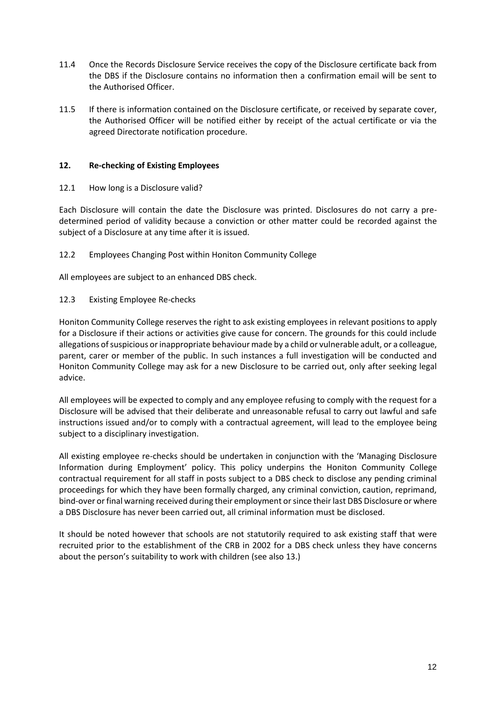- 11.4 Once the Records Disclosure Service receives the copy of the Disclosure certificate back from the DBS if the Disclosure contains no information then a confirmation email will be sent to the Authorised Officer.
- 11.5 If there is information contained on the Disclosure certificate, or received by separate cover, the Authorised Officer will be notified either by receipt of the actual certificate or via the agreed Directorate notification procedure.

# **12. Re-checking of Existing Employees**

12.1 How long is a Disclosure valid?

Each Disclosure will contain the date the Disclosure was printed. Disclosures do not carry a predetermined period of validity because a conviction or other matter could be recorded against the subject of a Disclosure at any time after it is issued.

12.2 Employees Changing Post within Honiton Community College

All employees are subject to an enhanced DBS check.

12.3 Existing Employee Re-checks

Honiton Community College reserves the right to ask existing employees in relevant positions to apply for a Disclosure if their actions or activities give cause for concern. The grounds for this could include allegations of suspicious or inappropriate behaviour made by a child or vulnerable adult, or a colleague, parent, carer or member of the public. In such instances a full investigation will be conducted and Honiton Community College may ask for a new Disclosure to be carried out, only after seeking legal advice.

All employees will be expected to comply and any employee refusing to comply with the request for a Disclosure will be advised that their deliberate and unreasonable refusal to carry out lawful and safe instructions issued and/or to comply with a contractual agreement, will lead to the employee being subject to a disciplinary investigation.

All existing employee re-checks should be undertaken in conjunction with the 'Managing Disclosure Information during Employment' policy. This policy underpins the Honiton Community College contractual requirement for all staff in posts subject to a DBS check to disclose any pending criminal proceedings for which they have been formally charged, any criminal conviction, caution, reprimand, bind-over or final warning received during their employment or since their last DBS Disclosure or where a DBS Disclosure has never been carried out, all criminal information must be disclosed.

It should be noted however that schools are not statutorily required to ask existing staff that were recruited prior to the establishment of the CRB in 2002 for a DBS check unless they have concerns about the person's suitability to work with children (see also 13.)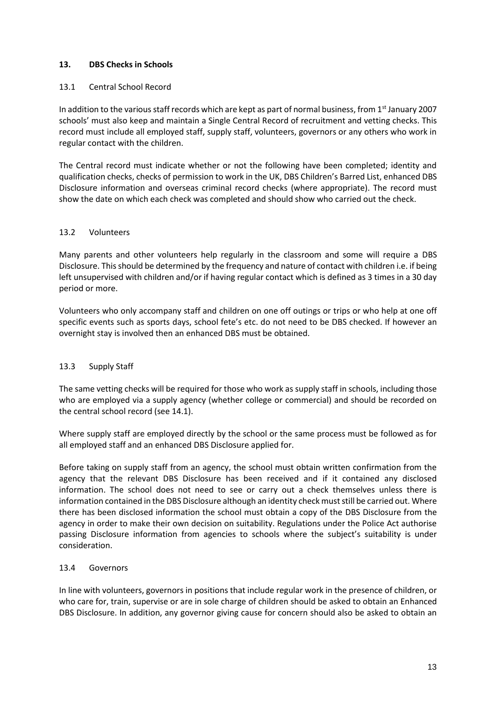# **13. DBS Checks in Schools**

### 13.1 Central School Record

In addition to the various staff records which are kept as part of normal business, from 1st January 2007 schools' must also keep and maintain a Single Central Record of recruitment and vetting checks. This record must include all employed staff, supply staff, volunteers, governors or any others who work in regular contact with the children.

The Central record must indicate whether or not the following have been completed; identity and qualification checks, checks of permission to work in the UK, DBS Children's Barred List, enhanced DBS Disclosure information and overseas criminal record checks (where appropriate). The record must show the date on which each check was completed and should show who carried out the check.

### 13.2 Volunteers

Many parents and other volunteers help regularly in the classroom and some will require a DBS Disclosure. This should be determined by the frequency and nature of contact with children i.e. if being left unsupervised with children and/or if having regular contact which is defined as 3 times in a 30 day period or more.

Volunteers who only accompany staff and children on one off outings or trips or who help at one off specific events such as sports days, school fete's etc. do not need to be DBS checked. If however an overnight stay is involved then an enhanced DBS must be obtained.

# 13.3 Supply Staff

The same vetting checks will be required for those who work as supply staff in schools, including those who are employed via a supply agency (whether college or commercial) and should be recorded on the central school record (see 14.1).

Where supply staff are employed directly by the school or the same process must be followed as for all employed staff and an enhanced DBS Disclosure applied for.

Before taking on supply staff from an agency, the school must obtain written confirmation from the agency that the relevant DBS Disclosure has been received and if it contained any disclosed information. The school does not need to see or carry out a check themselves unless there is information contained in the DBS Disclosure although an identity check must still be carried out. Where there has been disclosed information the school must obtain a copy of the DBS Disclosure from the agency in order to make their own decision on suitability. Regulations under the Police Act authorise passing Disclosure information from agencies to schools where the subject's suitability is under consideration.

### 13.4 Governors

In line with volunteers, governors in positions that include regular work in the presence of children, or who care for, train, supervise or are in sole charge of children should be asked to obtain an Enhanced DBS Disclosure. In addition, any governor giving cause for concern should also be asked to obtain an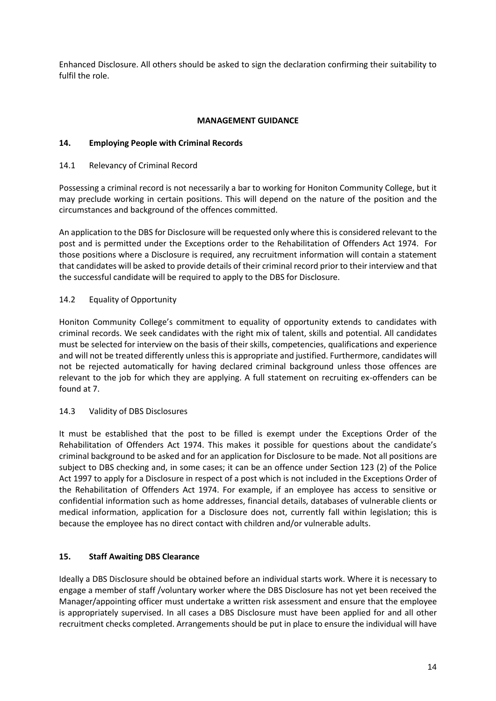Enhanced Disclosure. All others should be asked to sign the declaration confirming their suitability to fulfil the role.

# **MANAGEMENT GUIDANCE**

### **14. Employing People with Criminal Records**

### 14.1 Relevancy of Criminal Record

Possessing a criminal record is not necessarily a bar to working for Honiton Community College, but it may preclude working in certain positions. This will depend on the nature of the position and the circumstances and background of the offences committed.

An application to the DBS for Disclosure will be requested only where this is considered relevant to the post and is permitted under the Exceptions order to the Rehabilitation of Offenders Act 1974. For those positions where a Disclosure is required, any recruitment information will contain a statement that candidates will be asked to provide details of their criminal record prior to their interview and that the successful candidate will be required to apply to the DBS for Disclosure.

### 14.2 Equality of Opportunity

Honiton Community College's commitment to equality of opportunity extends to candidates with criminal records. We seek candidates with the right mix of talent, skills and potential. All candidates must be selected for interview on the basis of their skills, competencies, qualifications and experience and will not be treated differently unless this is appropriate and justified. Furthermore, candidates will not be rejected automatically for having declared criminal background unless those offences are relevant to the job for which they are applying. A full statement on recruiting ex-offenders can be found at 7.

### 14.3 Validity of DBS Disclosures

It must be established that the post to be filled is exempt under the Exceptions Order of the Rehabilitation of Offenders Act 1974. This makes it possible for questions about the candidate's criminal background to be asked and for an application for Disclosure to be made. Not all positions are subject to DBS checking and, in some cases; it can be an offence under Section 123 (2) of the Police Act 1997 to apply for a Disclosure in respect of a post which is not included in the Exceptions Order of the Rehabilitation of Offenders Act 1974. For example, if an employee has access to sensitive or confidential information such as home addresses, financial details, databases of vulnerable clients or medical information, application for a Disclosure does not, currently fall within legislation; this is because the employee has no direct contact with children and/or vulnerable adults.

# **15. Staff Awaiting DBS Clearance**

Ideally a DBS Disclosure should be obtained before an individual starts work. Where it is necessary to engage a member of staff /voluntary worker where the DBS Disclosure has not yet been received the Manager/appointing officer must undertake a written risk assessment and ensure that the employee is appropriately supervised. In all cases a DBS Disclosure must have been applied for and all other recruitment checks completed. Arrangements should be put in place to ensure the individual will have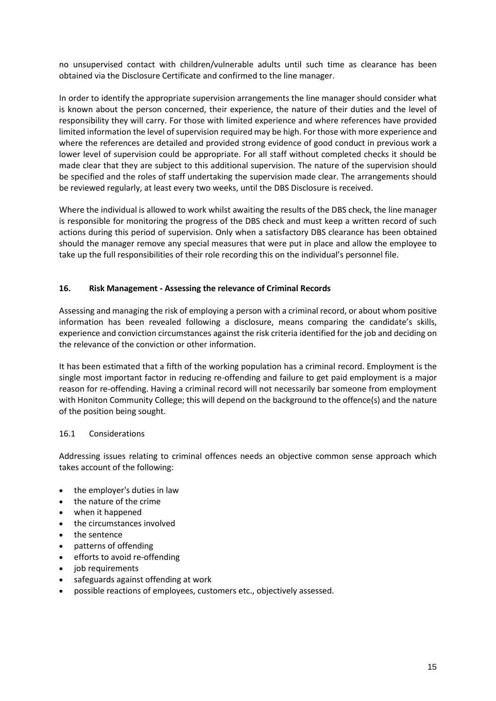no unsupervised contact with children/vulnerable adults until such time as clearance has been obtained via the Disclosure Certificate and confirmed to the line manager.

In order to identify the appropriate supervision arrangements the line manager should consider what is known about the person concerned, their experience, the nature of their duties and the level of responsibility they will carry. For those with limited experience and where references have provided limited information the level of supervision required may be high. For those with more experience and where the references are detailed and provided strong evidence of good conduct in previous work a lower level of supervision could be appropriate. For all staff without completed checks it should be made clear that they are subject to this additional supervision. The nature of the supervision should be specified and the roles of staff undertaking the supervision made clear. The arrangements should be reviewed regularly, at least every two weeks, until the DBS Disclosure is received.

Where the individual is allowed to work whilst awaiting the results of the DBS check, the line manager is responsible for monitoring the progress of the DBS check and must keep a written record of such actions during this period of supervision. Only when a satisfactory DBS clearance has been obtained should the manager remove any special measures that were put in place and allow the employee to take up the full responsibilities of their role recording this on the individual's personnel file.

### **16. Risk Management - Assessing the relevance of Criminal Records**

Assessing and managing the risk of employing a person with a criminal record, or about whom positive information has been revealed following a disclosure, means comparing the candidate's skills, experience and conviction circumstances against the risk criteria identified for the job and deciding on the relevance of the conviction or other information.

It has been estimated that a fifth of the working population has a criminal record. Employment is the single most important factor in reducing re-offending and failure to get paid employment is a major reason for re-offending. Having a criminal record will not necessarily bar someone from employment with Honiton Community College; this will depend on the background to the offence(s) and the nature of the position being sought.

### 16.1 Considerations

Addressing issues relating to criminal offences needs an objective common sense approach which takes account of the following:

- the employer's duties in law
- the nature of the crime
- when it happened
- the circumstances involved
- the sentence
- patterns of offending
- efforts to avoid re-offending
- job requirements
- safeguards against offending at work
- possible reactions of employees, customers etc., objectively assessed.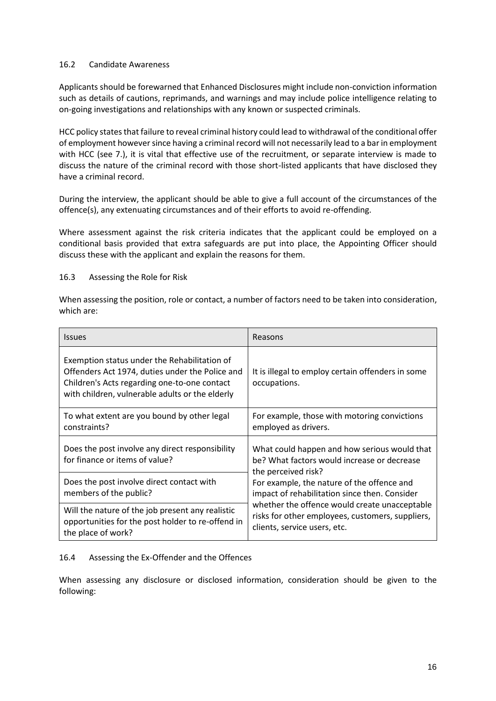### 16.2 Candidate Awareness

Applicants should be forewarned that Enhanced Disclosures might include non-conviction information such as details of cautions, reprimands, and warnings and may include police intelligence relating to on-going investigations and relationships with any known or suspected criminals.

HCC policy states that failure to reveal criminal history could lead to withdrawal of the conditional offer of employment however since having a criminal record will not necessarily lead to a bar in employment with HCC (see 7.), it is vital that effective use of the recruitment, or separate interview is made to discuss the nature of the criminal record with those short-listed applicants that have disclosed they have a criminal record.

During the interview, the applicant should be able to give a full account of the circumstances of the offence(s), any extenuating circumstances and of their efforts to avoid re-offending.

Where assessment against the risk criteria indicates that the applicant could be employed on a conditional basis provided that extra safeguards are put into place, the Appointing Officer should discuss these with the applicant and explain the reasons for them.

### 16.3 Assessing the Role for Risk

When assessing the position, role or contact, a number of factors need to be taken into consideration, which are:

| <b>Issues</b>                                                                                                                                                                                      | Reasons                                                                                                            |  |
|----------------------------------------------------------------------------------------------------------------------------------------------------------------------------------------------------|--------------------------------------------------------------------------------------------------------------------|--|
| Exemption status under the Rehabilitation of<br>Offenders Act 1974, duties under the Police and<br>Children's Acts regarding one-to-one contact<br>with children, vulnerable adults or the elderly | It is illegal to employ certain offenders in some<br>occupations.                                                  |  |
| To what extent are you bound by other legal                                                                                                                                                        | For example, those with motoring convictions                                                                       |  |
| constraints?                                                                                                                                                                                       | employed as drivers.                                                                                               |  |
| Does the post involve any direct responsibility<br>for finance or items of value?                                                                                                                  | What could happen and how serious would that<br>be? What factors would increase or decrease<br>the perceived risk? |  |
| Does the post involve direct contact with                                                                                                                                                          | For example, the nature of the offence and                                                                         |  |
| members of the public?                                                                                                                                                                             | impact of rehabilitation since then. Consider                                                                      |  |
| Will the nature of the job present any realistic                                                                                                                                                   | whether the offence would create unacceptable                                                                      |  |
| opportunities for the post holder to re-offend in                                                                                                                                                  | risks for other employees, customers, suppliers,                                                                   |  |
| the place of work?                                                                                                                                                                                 | clients, service users, etc.                                                                                       |  |

# 16.4 Assessing the Ex-Offender and the Offences

When assessing any disclosure or disclosed information, consideration should be given to the following: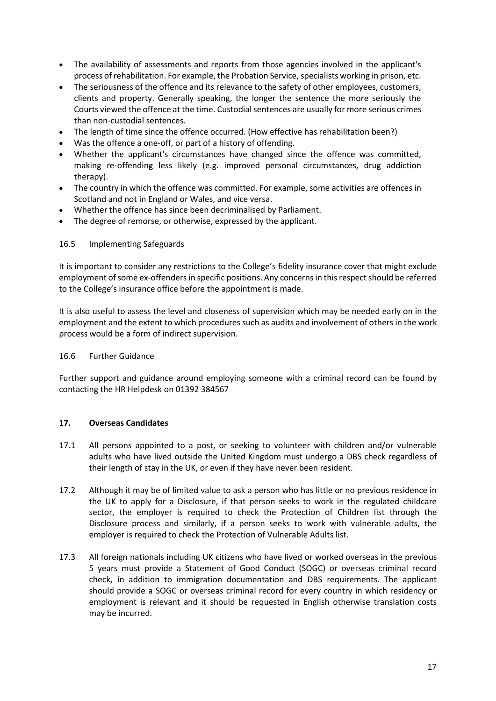- The availability of assessments and reports from those agencies involved in the applicant's process of rehabilitation. For example, the Probation Service, specialists working in prison, etc.
- The seriousness of the offence and its relevance to the safety of other employees, customers, clients and property. Generally speaking, the longer the sentence the more seriously the Courts viewed the offence at the time. Custodial sentences are usually for more serious crimes than non-custodial sentences.
- The length of time since the offence occurred. (How effective has rehabilitation been?)
- Was the offence a one-off, or part of a history of offending.
- Whether the applicant's circumstances have changed since the offence was committed, making re-offending less likely (e.g. improved personal circumstances, drug addiction therapy).
- The country in which the offence was committed. For example, some activities are offences in Scotland and not in England or Wales, and vice versa.
- Whether the offence has since been decriminalised by Parliament.
- The degree of remorse, or otherwise, expressed by the applicant.

### 16.5 Implementing Safeguards

It is important to consider any restrictions to the College's fidelity insurance cover that might exclude employment of some ex-offenders in specific positions. Any concerns in this respect should be referred to the College's insurance office before the appointment is made.

It is also useful to assess the level and closeness of supervision which may be needed early on in the employment and the extent to which procedures such as audits and involvement of others in the work process would be a form of indirect supervision.

### 16.6 Further Guidance

Further support and guidance around employing someone with a criminal record can be found by contacting the HR Helpdesk on 01392 384567

### **17. Overseas Candidates**

- 17.1 All persons appointed to a post, or seeking to volunteer with children and/or vulnerable adults who have lived outside the United Kingdom must undergo a DBS check regardless of their length of stay in the UK, or even if they have never been resident.
- 17.2 Although it may be of limited value to ask a person who has little or no previous residence in the UK to apply for a Disclosure, if that person seeks to work in the regulated childcare sector, the employer is required to check the Protection of Children list through the Disclosure process and similarly, if a person seeks to work with vulnerable adults, the employer is required to check the Protection of Vulnerable Adults list.
- 17.3 All foreign nationals including UK citizens who have lived or worked overseas in the previous 5 years must provide a Statement of Good Conduct (SOGC) or overseas criminal record check, in addition to immigration documentation and DBS requirements. The applicant should provide a SOGC or overseas criminal record for every country in which residency or employment is relevant and it should be requested in English otherwise translation costs may be incurred.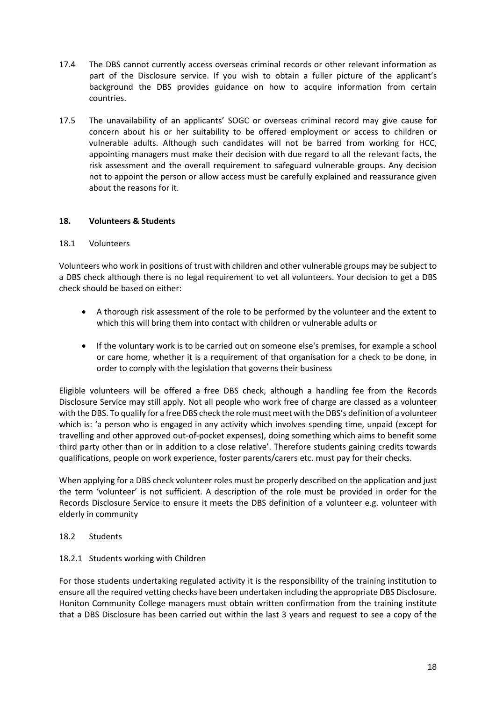- 17.4 The DBS cannot currently access overseas criminal records or other relevant information as part of the Disclosure service. If you wish to obtain a fuller picture of the applicant's background the DBS provides guidance on how to acquire information from certain countries.
- 17.5 The unavailability of an applicants' SOGC or overseas criminal record may give cause for concern about his or her suitability to be offered employment or access to children or vulnerable adults. Although such candidates will not be barred from working for HCC, appointing managers must make their decision with due regard to all the relevant facts, the risk assessment and the overall requirement to safeguard vulnerable groups. Any decision not to appoint the person or allow access must be carefully explained and reassurance given about the reasons for it.

# **18. Volunteers & Students**

### 18.1 Volunteers

Volunteers who work in positions of trust with children and other vulnerable groups may be subject to a DBS check although there is no legal requirement to vet all volunteers. Your decision to get a DBS check should be based on either:

- A thorough risk assessment of the role to be performed by the volunteer and the extent to which this will bring them into contact with children or vulnerable adults or
- If the voluntary work is to be carried out on someone else's premises, for example a school or care home, whether it is a requirement of that organisation for a check to be done, in order to comply with the legislation that governs their business

Eligible volunteers will be offered a free DBS check, although a handling fee from the Records Disclosure Service may still apply. Not all people who work free of charge are classed as a volunteer with the DBS. To qualify for a free DBS check the role must meet with the DBS's definition of a volunteer which is: 'a person who is engaged in any activity which involves spending time, unpaid (except for travelling and other approved out-of-pocket expenses), doing something which aims to benefit some third party other than or in addition to a close relative'. Therefore students gaining credits towards qualifications, people on work experience, foster parents/carers etc. must pay for their checks.

When applying for a DBS check volunteer roles must be properly described on the application and just the term 'volunteer' is not sufficient. A description of the role must be provided in order for the Records Disclosure Service to ensure it meets the DBS definition of a volunteer e.g. volunteer with elderly in community

### 18.2 Students

### 18.2.1 Students working with Children

For those students undertaking regulated activity it is the responsibility of the training institution to ensure all the required vetting checks have been undertaken including the appropriate DBS Disclosure. Honiton Community College managers must obtain written confirmation from the training institute that a DBS Disclosure has been carried out within the last 3 years and request to see a copy of the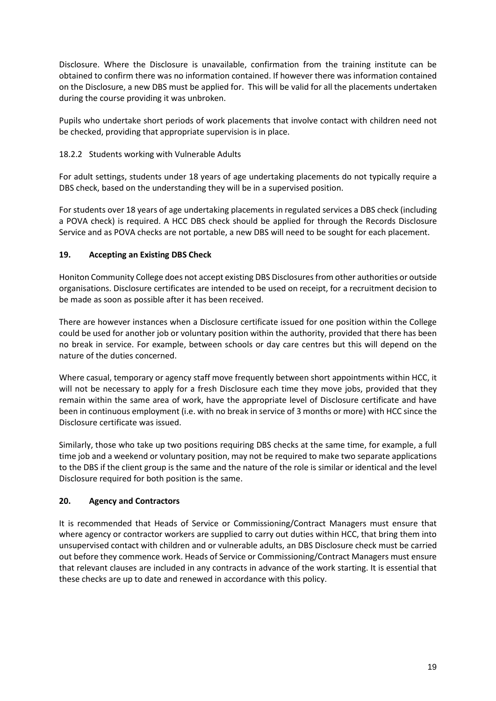Disclosure. Where the Disclosure is unavailable, confirmation from the training institute can be obtained to confirm there was no information contained. If however there was information contained on the Disclosure, a new DBS must be applied for. This will be valid for all the placements undertaken during the course providing it was unbroken.

Pupils who undertake short periods of work placements that involve contact with children need not be checked, providing that appropriate supervision is in place.

# 18.2.2 Students working with Vulnerable Adults

For adult settings, students under 18 years of age undertaking placements do not typically require a DBS check, based on the understanding they will be in a supervised position.

For students over 18 years of age undertaking placements in regulated services a DBS check (including a POVA check) is required. A HCC DBS check should be applied for through the Records Disclosure Service and as POVA checks are not portable, a new DBS will need to be sought for each placement.

# **19. Accepting an Existing DBS Check**

Honiton Community College does not accept existing DBS Disclosures from other authorities or outside organisations. Disclosure certificates are intended to be used on receipt, for a recruitment decision to be made as soon as possible after it has been received.

There are however instances when a Disclosure certificate issued for one position within the College could be used for another job or voluntary position within the authority, provided that there has been no break in service. For example, between schools or day care centres but this will depend on the nature of the duties concerned.

Where casual, temporary or agency staff move frequently between short appointments within HCC, it will not be necessary to apply for a fresh Disclosure each time they move jobs, provided that they remain within the same area of work, have the appropriate level of Disclosure certificate and have been in continuous employment (i.e. with no break in service of 3 months or more) with HCC since the Disclosure certificate was issued.

Similarly, those who take up two positions requiring DBS checks at the same time, for example, a full time job and a weekend or voluntary position, may not be required to make two separate applications to the DBS if the client group is the same and the nature of the role is similar or identical and the level Disclosure required for both position is the same.

# **20. Agency and Contractors**

It is recommended that Heads of Service or Commissioning/Contract Managers must ensure that where agency or contractor workers are supplied to carry out duties within HCC, that bring them into unsupervised contact with children and or vulnerable adults, an DBS Disclosure check must be carried out before they commence work. Heads of Service or Commissioning/Contract Managers must ensure that relevant clauses are included in any contracts in advance of the work starting. It is essential that these checks are up to date and renewed in accordance with this policy.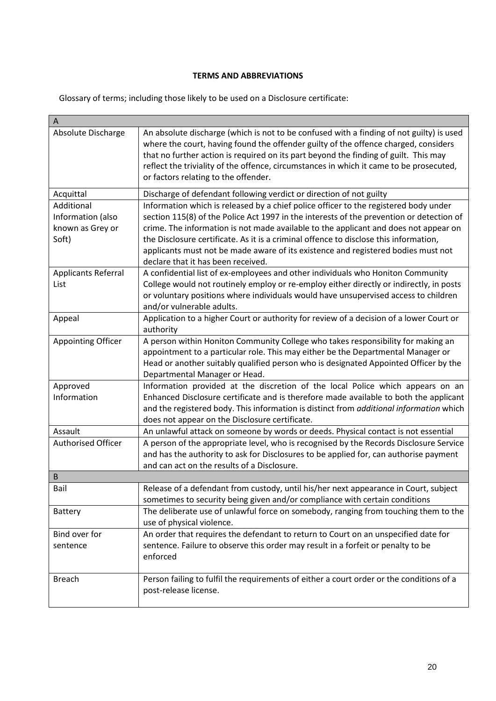### **TERMS AND ABBREVIATIONS**

Glossary of terms; including those likely to be used on a Disclosure certificate:

| A                                                            |                                                                                                                                                                                                                                                                                                                                                                                                                                                                                              |
|--------------------------------------------------------------|----------------------------------------------------------------------------------------------------------------------------------------------------------------------------------------------------------------------------------------------------------------------------------------------------------------------------------------------------------------------------------------------------------------------------------------------------------------------------------------------|
| Absolute Discharge                                           | An absolute discharge (which is not to be confused with a finding of not guilty) is used<br>where the court, having found the offender guilty of the offence charged, considers<br>that no further action is required on its part beyond the finding of guilt. This may<br>reflect the triviality of the offence, circumstances in which it came to be prosecuted,<br>or factors relating to the offender.                                                                                   |
| Acquittal                                                    | Discharge of defendant following verdict or direction of not guilty                                                                                                                                                                                                                                                                                                                                                                                                                          |
| Additional<br>Information (also<br>known as Grey or<br>Soft) | Information which is released by a chief police officer to the registered body under<br>section 115(8) of the Police Act 1997 in the interests of the prevention or detection of<br>crime. The information is not made available to the applicant and does not appear on<br>the Disclosure certificate. As it is a criminal offence to disclose this information,<br>applicants must not be made aware of its existence and registered bodies must not<br>declare that it has been received. |
| <b>Applicants Referral</b><br>List                           | A confidential list of ex-employees and other individuals who Honiton Community<br>College would not routinely employ or re-employ either directly or indirectly, in posts<br>or voluntary positions where individuals would have unsupervised access to children<br>and/or vulnerable adults.                                                                                                                                                                                               |
| Appeal                                                       | Application to a higher Court or authority for review of a decision of a lower Court or<br>authority                                                                                                                                                                                                                                                                                                                                                                                         |
| <b>Appointing Officer</b>                                    | A person within Honiton Community College who takes responsibility for making an<br>appointment to a particular role. This may either be the Departmental Manager or<br>Head or another suitably qualified person who is designated Appointed Officer by the<br>Departmental Manager or Head.                                                                                                                                                                                                |
| Approved<br>Information                                      | Information provided at the discretion of the local Police which appears on an<br>Enhanced Disclosure certificate and is therefore made available to both the applicant<br>and the registered body. This information is distinct from additional information which<br>does not appear on the Disclosure certificate.                                                                                                                                                                         |
| Assault                                                      | An unlawful attack on someone by words or deeds. Physical contact is not essential                                                                                                                                                                                                                                                                                                                                                                                                           |
| <b>Authorised Officer</b>                                    | A person of the appropriate level, who is recognised by the Records Disclosure Service<br>and has the authority to ask for Disclosures to be applied for, can authorise payment<br>and can act on the results of a Disclosure.                                                                                                                                                                                                                                                               |
| B                                                            |                                                                                                                                                                                                                                                                                                                                                                                                                                                                                              |
| Bail                                                         | Release of a defendant from custody, until his/her next appearance in Court, subject<br>sometimes to security being given and/or compliance with certain conditions                                                                                                                                                                                                                                                                                                                          |
| <b>Battery</b>                                               | The deliberate use of unlawful force on somebody, ranging from touching them to the<br>use of physical violence.                                                                                                                                                                                                                                                                                                                                                                             |
| Bind over for<br>sentence                                    | An order that requires the defendant to return to Court on an unspecified date for<br>sentence. Failure to observe this order may result in a forfeit or penalty to be<br>enforced                                                                                                                                                                                                                                                                                                           |
| <b>Breach</b>                                                | Person failing to fulfil the requirements of either a court order or the conditions of a<br>post-release license.                                                                                                                                                                                                                                                                                                                                                                            |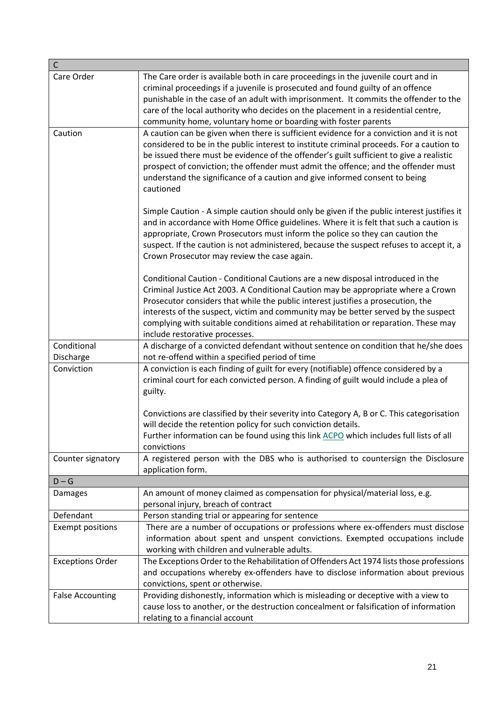| C                        |                                                                                                                                                                                                                                                                                                                                                                                                                                                                         |
|--------------------------|-------------------------------------------------------------------------------------------------------------------------------------------------------------------------------------------------------------------------------------------------------------------------------------------------------------------------------------------------------------------------------------------------------------------------------------------------------------------------|
| Care Order               | The Care order is available both in care proceedings in the juvenile court and in<br>criminal proceedings if a juvenile is prosecuted and found guilty of an offence<br>punishable in the case of an adult with imprisonment. It commits the offender to the<br>care of the local authority who decides on the placement in a residential centre,<br>community home, voluntary home or boarding with foster parents                                                     |
| Caution                  | A caution can be given when there is sufficient evidence for a conviction and it is not<br>considered to be in the public interest to institute criminal proceeds. For a caution to<br>be issued there must be evidence of the offender's guilt sufficient to give a realistic<br>prospect of conviction; the offender must admit the offence; and the offender must<br>understand the significance of a caution and give informed consent to being<br>cautioned        |
|                          | Simple Caution - A simple caution should only be given if the public interest justifies it<br>and in accordance with Home Office guidelines. Where it is felt that such a caution is<br>appropriate, Crown Prosecutors must inform the police so they can caution the<br>suspect. If the caution is not administered, because the suspect refuses to accept it, a<br>Crown Prosecutor may review the case again.                                                        |
|                          | Conditional Caution - Conditional Cautions are a new disposal introduced in the<br>Criminal Justice Act 2003. A Conditional Caution may be appropriate where a Crown<br>Prosecutor considers that while the public interest justifies a prosecution, the<br>interests of the suspect, victim and community may be better served by the suspect<br>complying with suitable conditions aimed at rehabilitation or reparation. These may<br>include restorative processes. |
| Conditional<br>Discharge | A discharge of a convicted defendant without sentence on condition that he/she does<br>not re-offend within a specified period of time                                                                                                                                                                                                                                                                                                                                  |
| Conviction               | A conviction is each finding of guilt for every (notifiable) offence considered by a<br>criminal court for each convicted person. A finding of guilt would include a plea of<br>guilty.                                                                                                                                                                                                                                                                                 |
|                          | Convictions are classified by their severity into Category A, B or C. This categorisation<br>will decide the retention policy for such conviction details.<br>Further information can be found using this link ACPO which includes full lists of all<br>convictions                                                                                                                                                                                                     |
| Counter signatory        | A registered person with the DBS who is authorised to countersign the Disclosure<br>application form.                                                                                                                                                                                                                                                                                                                                                                   |
| $D - G$                  |                                                                                                                                                                                                                                                                                                                                                                                                                                                                         |
| <b>Damages</b>           | An amount of money claimed as compensation for physical/material loss, e.g.<br>personal injury, breach of contract                                                                                                                                                                                                                                                                                                                                                      |
| Defendant                | Person standing trial or appearing for sentence                                                                                                                                                                                                                                                                                                                                                                                                                         |
| <b>Exempt positions</b>  | There are a number of occupations or professions where ex-offenders must disclose<br>information about spent and unspent convictions. Exempted occupations include<br>working with children and vulnerable adults.                                                                                                                                                                                                                                                      |
| <b>Exceptions Order</b>  | The Exceptions Order to the Rehabilitation of Offenders Act 1974 lists those professions<br>and occupations whereby ex-offenders have to disclose information about previous<br>convictions, spent or otherwise.                                                                                                                                                                                                                                                        |
| <b>False Accounting</b>  | Providing dishonestly, information which is misleading or deceptive with a view to<br>cause loss to another, or the destruction concealment or falsification of information<br>relating to a financial account                                                                                                                                                                                                                                                          |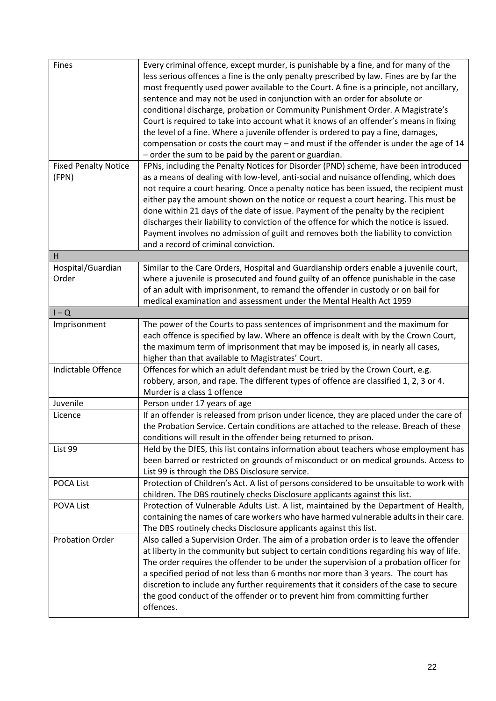| Fines                                | Every criminal offence, except murder, is punishable by a fine, and for many of the<br>less serious offences a fine is the only penalty prescribed by law. Fines are by far the<br>most frequently used power available to the Court. A fine is a principle, not ancillary,<br>sentence and may not be used in conjunction with an order for absolute or<br>conditional discharge, probation or Community Punishment Order. A Magistrate's<br>Court is required to take into account what it knows of an offender's means in fixing<br>the level of a fine. Where a juvenile offender is ordered to pay a fine, damages,<br>compensation or costs the court may $-$ and must if the offender is under the age of 14 |  |
|--------------------------------------|---------------------------------------------------------------------------------------------------------------------------------------------------------------------------------------------------------------------------------------------------------------------------------------------------------------------------------------------------------------------------------------------------------------------------------------------------------------------------------------------------------------------------------------------------------------------------------------------------------------------------------------------------------------------------------------------------------------------|--|
|                                      | - order the sum to be paid by the parent or guardian.                                                                                                                                                                                                                                                                                                                                                                                                                                                                                                                                                                                                                                                               |  |
| <b>Fixed Penalty Notice</b><br>(FPN) | FPNs, including the Penalty Notices for Disorder (PND) scheme, have been introduced<br>as a means of dealing with low-level, anti-social and nuisance offending, which does<br>not require a court hearing. Once a penalty notice has been issued, the recipient must<br>either pay the amount shown on the notice or request a court hearing. This must be<br>done within 21 days of the date of issue. Payment of the penalty by the recipient<br>discharges their liability to conviction of the offence for which the notice is issued.<br>Payment involves no admission of guilt and removes both the liability to conviction<br>and a record of criminal conviction.                                          |  |
| H                                    |                                                                                                                                                                                                                                                                                                                                                                                                                                                                                                                                                                                                                                                                                                                     |  |
| Hospital/Guardian<br>Order           | Similar to the Care Orders, Hospital and Guardianship orders enable a juvenile court,<br>where a juvenile is prosecuted and found guilty of an offence punishable in the case<br>of an adult with imprisonment, to remand the offender in custody or on bail for<br>medical examination and assessment under the Mental Health Act 1959                                                                                                                                                                                                                                                                                                                                                                             |  |
| $I - Q$                              |                                                                                                                                                                                                                                                                                                                                                                                                                                                                                                                                                                                                                                                                                                                     |  |
| Imprisonment                         | The power of the Courts to pass sentences of imprisonment and the maximum for<br>each offence is specified by law. Where an offence is dealt with by the Crown Court,<br>the maximum term of imprisonment that may be imposed is, in nearly all cases,<br>higher than that available to Magistrates' Court.                                                                                                                                                                                                                                                                                                                                                                                                         |  |
| Indictable Offence                   | Offences for which an adult defendant must be tried by the Crown Court, e.g.<br>robbery, arson, and rape. The different types of offence are classified 1, 2, 3 or 4.<br>Murder is a class 1 offence                                                                                                                                                                                                                                                                                                                                                                                                                                                                                                                |  |
| Juvenile                             | Person under 17 years of age                                                                                                                                                                                                                                                                                                                                                                                                                                                                                                                                                                                                                                                                                        |  |
| Licence                              | If an offender is released from prison under licence, they are placed under the care of<br>the Probation Service. Certain conditions are attached to the release. Breach of these<br>conditions will result in the offender being returned to prison.                                                                                                                                                                                                                                                                                                                                                                                                                                                               |  |
| List 99                              | Held by the DfES, this list contains information about teachers whose employment has<br>been barred or restricted on grounds of misconduct or on medical grounds. Access to<br>List 99 is through the DBS Disclosure service.                                                                                                                                                                                                                                                                                                                                                                                                                                                                                       |  |
| <b>POCA List</b>                     | Protection of Children's Act. A list of persons considered to be unsuitable to work with<br>children. The DBS routinely checks Disclosure applicants against this list.                                                                                                                                                                                                                                                                                                                                                                                                                                                                                                                                             |  |
| POVA List                            | Protection of Vulnerable Adults List. A list, maintained by the Department of Health,<br>containing the names of care workers who have harmed vulnerable adults in their care.<br>The DBS routinely checks Disclosure applicants against this list.                                                                                                                                                                                                                                                                                                                                                                                                                                                                 |  |
| <b>Probation Order</b>               | Also called a Supervision Order. The aim of a probation order is to leave the offender<br>at liberty in the community but subject to certain conditions regarding his way of life.<br>The order requires the offender to be under the supervision of a probation officer for<br>a specified period of not less than 6 months nor more than 3 years. The court has<br>discretion to include any further requirements that it considers of the case to secure<br>the good conduct of the offender or to prevent him from committing further<br>offences.                                                                                                                                                              |  |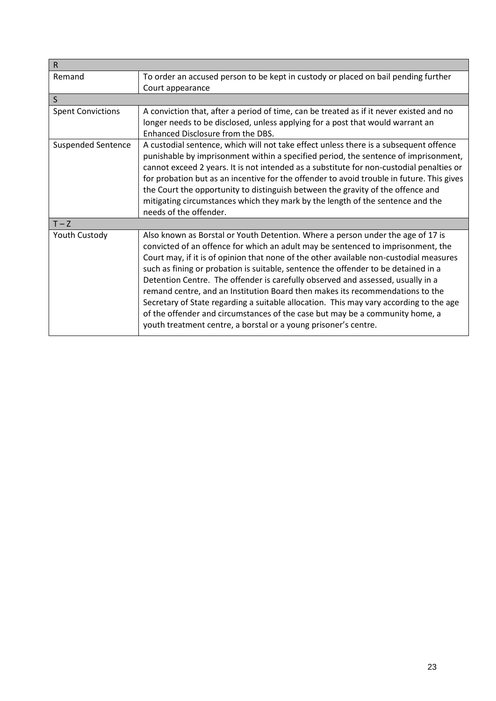| $\mathsf R$               |                                                                                                                                                                                                                                                                                                                                                                                                                                                                                                                                                                                                                                                                                                                                                                      |  |
|---------------------------|----------------------------------------------------------------------------------------------------------------------------------------------------------------------------------------------------------------------------------------------------------------------------------------------------------------------------------------------------------------------------------------------------------------------------------------------------------------------------------------------------------------------------------------------------------------------------------------------------------------------------------------------------------------------------------------------------------------------------------------------------------------------|--|
| Remand                    | To order an accused person to be kept in custody or placed on bail pending further<br>Court appearance                                                                                                                                                                                                                                                                                                                                                                                                                                                                                                                                                                                                                                                               |  |
| $\mathsf{S}$              |                                                                                                                                                                                                                                                                                                                                                                                                                                                                                                                                                                                                                                                                                                                                                                      |  |
| <b>Spent Convictions</b>  | A conviction that, after a period of time, can be treated as if it never existed and no<br>longer needs to be disclosed, unless applying for a post that would warrant an<br>Enhanced Disclosure from the DBS.                                                                                                                                                                                                                                                                                                                                                                                                                                                                                                                                                       |  |
| <b>Suspended Sentence</b> | A custodial sentence, which will not take effect unless there is a subsequent offence<br>punishable by imprisonment within a specified period, the sentence of imprisonment,<br>cannot exceed 2 years. It is not intended as a substitute for non-custodial penalties or<br>for probation but as an incentive for the offender to avoid trouble in future. This gives<br>the Court the opportunity to distinguish between the gravity of the offence and<br>mitigating circumstances which they mark by the length of the sentence and the<br>needs of the offender.                                                                                                                                                                                                 |  |
| $T - Z$                   |                                                                                                                                                                                                                                                                                                                                                                                                                                                                                                                                                                                                                                                                                                                                                                      |  |
| Youth Custody             | Also known as Borstal or Youth Detention. Where a person under the age of 17 is<br>convicted of an offence for which an adult may be sentenced to imprisonment, the<br>Court may, if it is of opinion that none of the other available non-custodial measures<br>such as fining or probation is suitable, sentence the offender to be detained in a<br>Detention Centre. The offender is carefully observed and assessed, usually in a<br>remand centre, and an Institution Board then makes its recommendations to the<br>Secretary of State regarding a suitable allocation. This may vary according to the age<br>of the offender and circumstances of the case but may be a community home, a<br>youth treatment centre, a borstal or a young prisoner's centre. |  |